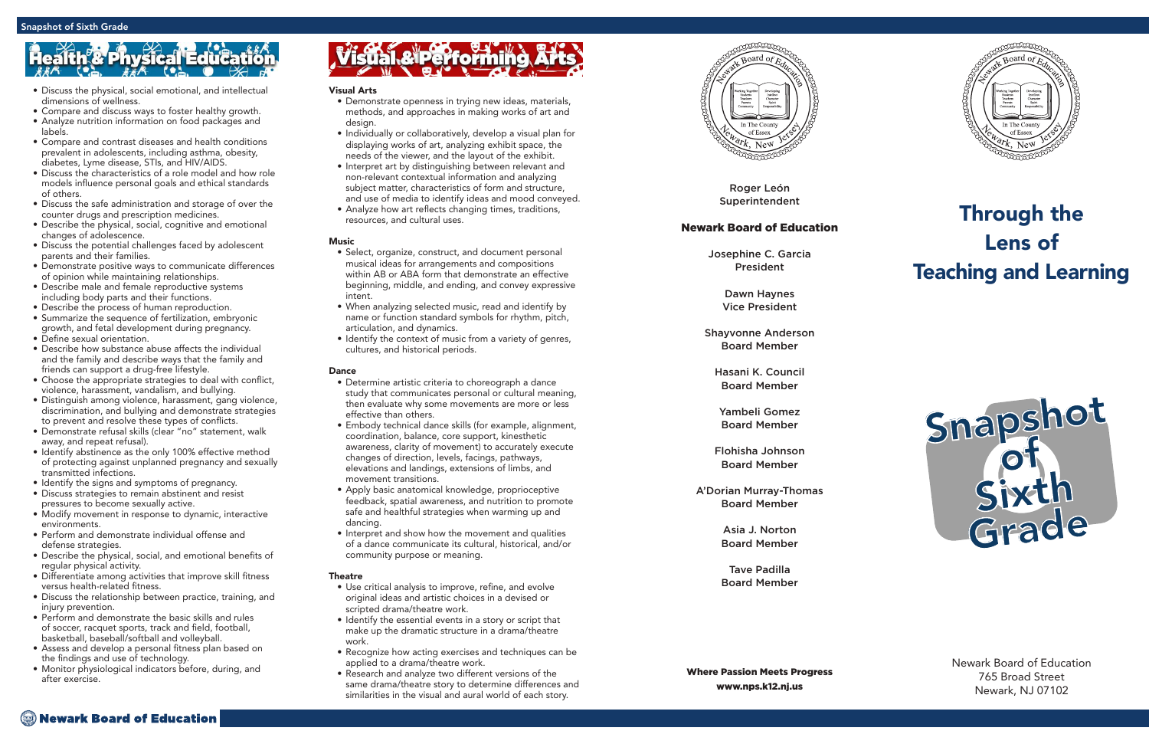Roger León Superintendent

# Newark Board of Education

Josephine C. Garcia President

> Dawn Haynes Vice President

Shayvonne Anderson Board Member

Hasani K. Council Board Member

Yambeli Gomez Board Member

Flohisha Johnson Board Member

A'Dorian Murray-Thomas Board Member

> Asia J. Norton Board Member

> Tave Padilla Board Member

Where Passion Meets Progress www.nps.k12.nj.us



# Through the Lens of Teaching and Learning

Newark Board of Education 765 Broad Street Newark, NJ 07102

## Visual Arts

- Demonstrate openness in trying new ideas, materials, methods, and approaches in making works of art and design.
- Individually or collaboratively, develop a visual plan for displaying works of art, analyzing exhibit space, the needs of the viewer, and the layout of the exhibit.
- Interpret art by distinguishing between relevant and non-relevant contextual information and analyzing subject matter, characteristics of form and structure, and use of media to identify ideas and mood conveyed.
- Analyze how art reflects changing times, traditions, resources, and cultural uses.

# **Music**

- Select, organize, construct, and document personal musical ideas for arrangements and compositions within AB or ABA form that demonstrate an effective beginning, middle, and ending, and convey expressive intent.
- When analyzing selected music, read and identify by name or function standard symbols for rhythm, pitch, articulation, and dynamics.
- Identify the context of music from a variety of genres, cultures, and historical periods.

# Dance

- Determine artistic criteria to choreograph a dance study that communicates personal or cultural meaning, then evaluate why some movements are more or less effective than others.
- Embody technical dance skills (for example, alignment, coordination, balance, core support, kinesthetic awareness, clarity of movement) to accurately execute changes of direction, levels, facings, pathways, elevations and landings, extensions of limbs, and movement transitions.
- Apply basic anatomical knowledge, proprioceptive feedback, spatial awareness, and nutrition to promote safe and healthful strategies when warming up and dancing.
- Interpret and show how the movement and qualities of a dance communicate its cultural, historical, and/or community purpose or meaning.

## **Theatre**

- Use critical analysis to improve, refine, and evolve original ideas and artistic choices in a devised or scripted drama/theatre work.
- Identify the essential events in a story or script that make up the dramatic structure in a drama/theatre work.
- Recognize how acting exercises and techniques can be applied to a drama/theatre work.
- Research and analyze two different versions of the same drama/theatre story to determine differences and similarities in the visual and aural world of each story.



# **Physical Edu**

- Discuss the physical, social emotional, and intellectual dimensions of wellness.
- Compare and discuss ways to foster healthy growth.
- Analyze nutrition information on food packages and labels.
- Compare and contrast diseases and health conditions prevalent in adolescents, including asthma, obesity, diabetes, Lyme disease, STIs, and HIV/AIDS.
- Discuss the characteristics of a role model and how role models influence personal goals and ethical standards of others.
- Discuss the safe administration and storage of over the counter drugs and prescription medicines.
- Describe the physical, social, cognitive and emotional changes of adolescence.
- Discuss the potential challenges faced by adolescent parents and their families.
- Demonstrate positive ways to communicate differences of opinion while maintaining relationships.
- Describe male and female reproductive systems including body parts and their functions.
- Describe the process of human reproduction.
- Summarize the sequence of fertilization, embryonic growth, and fetal development during pregnancy. • Define sexual orientation.
- Describe how substance abuse affects the individual
- and the family and describe ways that the family and friends can support a drug-free lifestyle.
- Choose the appropriate strategies to deal with conflict, violence, harassment, vandalism, and bullying.
- Distinguish among violence, harassment, gang violence, discrimination, and bullying and demonstrate strategies to prevent and resolve these types of conflicts.
- Demonstrate refusal skills (clear "no" statement, walk away, and repeat refusal).
- Identify abstinence as the only 100% effective method of protecting against unplanned pregnancy and sexually transmitted infections.<br>• Identify the signs and symptoms of pregnancy.
- 
- Discuss strategies to remain abstinent and resist pressures to become sexually active.
- Modify movement in response to dynamic, interactive environments.
- Perform and demonstrate individual offense and defense strategies.
- Describe the physical, social, and emotional benefits of regular physical activity.
- Differentiate among activities that improve skill fitness versus health-related fitness.
- Discuss the relationship between practice, training, and injury prevention.
- Perform and demonstrate the basic skills and rules of soccer, racquet sports, track and field, football, basketball, baseball/softball and volleyball.
- Assess and develop a personal fitness plan based on the findings and use of technology.
- Monitor physiological indicators before, during, and after exercise.

# **Visual & Performing**